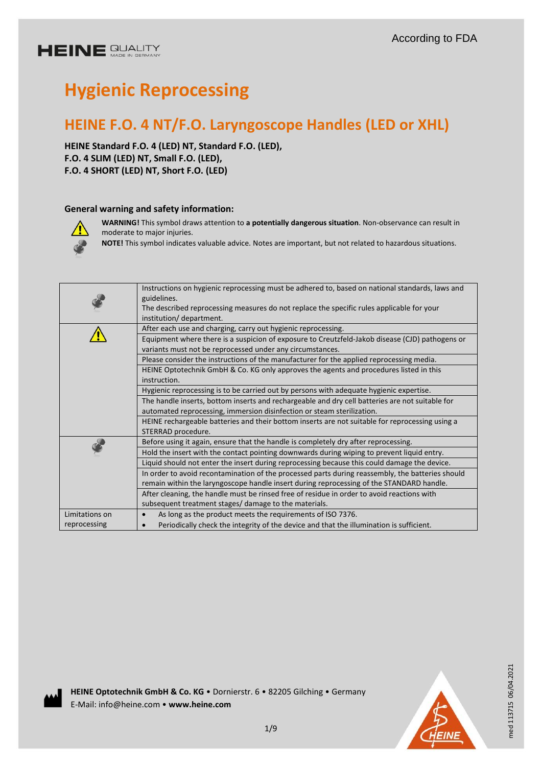# **HEINE GUALITY**

# **Hygienic Reprocessing**

# **HEINE F.O. 4 NT/F.O. Laryngoscope Handles (LED or XHL)**

**HEINE Standard F.O. 4 (LED) NT, Standard F.O. (LED), F.O. 4 SLIM (LED) NT, Small F.O. (LED), F.O. 4 SHORT (LED) NT, Short F.O. (LED)**

# **General warning and safety information:**



**WARNING!** This symbol draws attention to **a potentially dangerous situation**. Non-observance can result in moderate to major injuries.

**NOTE!** This symbol indicates valuable advice. Notes are important, but not related to hazardous situations.

|                | Instructions on hygienic reprocessing must be adhered to, based on national standards, laws and<br>guidelines.<br>The described reprocessing measures do not replace the specific rules applicable for your |
|----------------|-------------------------------------------------------------------------------------------------------------------------------------------------------------------------------------------------------------|
|                | institution/department.                                                                                                                                                                                     |
|                | After each use and charging, carry out hygienic reprocessing.                                                                                                                                               |
|                | Equipment where there is a suspicion of exposure to Creutzfeld-Jakob disease (CJD) pathogens or                                                                                                             |
|                | variants must not be reprocessed under any circumstances.                                                                                                                                                   |
|                | Please consider the instructions of the manufacturer for the applied reprocessing media.                                                                                                                    |
|                | HEINE Optotechnik GmbH & Co. KG only approves the agents and procedures listed in this                                                                                                                      |
|                | instruction.                                                                                                                                                                                                |
|                | Hygienic reprocessing is to be carried out by persons with adequate hygienic expertise.                                                                                                                     |
|                | The handle inserts, bottom inserts and rechargeable and dry cell batteries are not suitable for                                                                                                             |
|                | automated reprocessing, immersion disinfection or steam sterilization.                                                                                                                                      |
|                | HEINE rechargeable batteries and their bottom inserts are not suitable for reprocessing using a                                                                                                             |
|                | STERRAD procedure.                                                                                                                                                                                          |
|                | Before using it again, ensure that the handle is completely dry after reprocessing.                                                                                                                         |
|                | Hold the insert with the contact pointing downwards during wiping to prevent liquid entry.                                                                                                                  |
|                | Liquid should not enter the insert during reprocessing because this could damage the device.                                                                                                                |
|                | In order to avoid recontamination of the processed parts during reassembly, the batteries should                                                                                                            |
|                | remain within the laryngoscope handle insert during reprocessing of the STANDARD handle.                                                                                                                    |
|                | After cleaning, the handle must be rinsed free of residue in order to avoid reactions with                                                                                                                  |
|                | subsequent treatment stages/ damage to the materials.                                                                                                                                                       |
| Limitations on | As long as the product meets the requirements of ISO 7376.                                                                                                                                                  |
| reprocessing   | Periodically check the integrity of the device and that the illumination is sufficient.                                                                                                                     |
|                |                                                                                                                                                                                                             |



**HEINE Optotechnik GmbH & Co. KG** • Dornierstr. 6 • 82205 Gilching • Germany E-Mail: info@heine.com • **www.heine.com**



med 113715 06/04.2021

med 113715 06/04.2021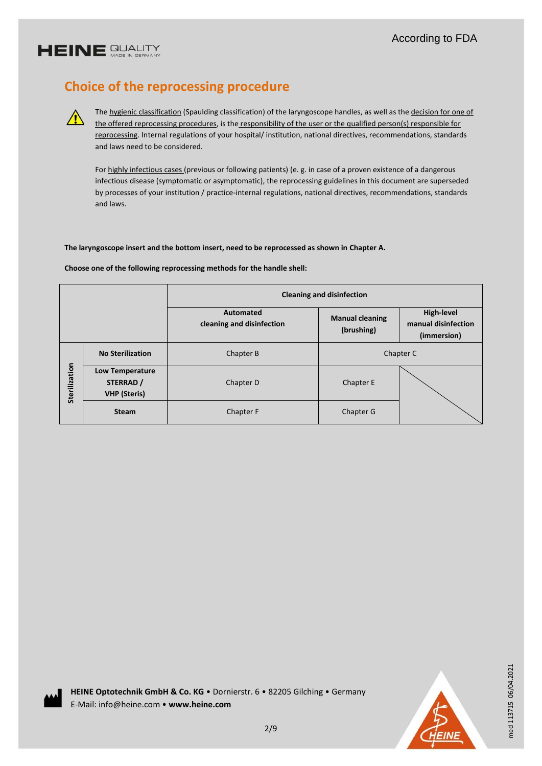# **HEINE GUALITY**

 $\bigwedge$ 

# **Choice of the reprocessing procedure**

The hygienic classification (Spaulding classification) of the laryngoscope handles, as well as the decision for one of the offered reprocessing procedures, is the responsibility of the user or the qualified person(s) responsible for reprocessing. Internal regulations of your hospital/ institution, national directives, recommendations, standards and laws need to be considered.

For highly infectious cases (previous or following patients) (e. g. in case of a proven existence of a dangerous infectious disease (symptomatic or asymptomatic), the reprocessing guidelines in this document are superseded by processes of your institution / practice-internal regulations, national directives, recommendations, standards and laws.

### **The laryngoscope insert and the bottom insert, need to be reprocessed as shown in Chapter A.**

#### **Choose one of the following reprocessing methods for the handle shell:**

|               |                                                            | <b>Cleaning and disinfection</b>              |                                      |                                                  |  |
|---------------|------------------------------------------------------------|-----------------------------------------------|--------------------------------------|--------------------------------------------------|--|
|               |                                                            | <b>Automated</b><br>cleaning and disinfection | <b>Manual cleaning</b><br>(brushing) | High-level<br>manual disinfection<br>(immersion) |  |
|               | <b>No Sterilization</b>                                    | Chapter B                                     | Chapter C                            |                                                  |  |
| Sterilization | <b>Low Temperature</b><br>STERRAD /<br><b>VHP</b> (Steris) | Chapter D                                     | Chapter E                            |                                                  |  |
|               | <b>Steam</b>                                               | Chapter F                                     | Chapter G                            |                                                  |  |



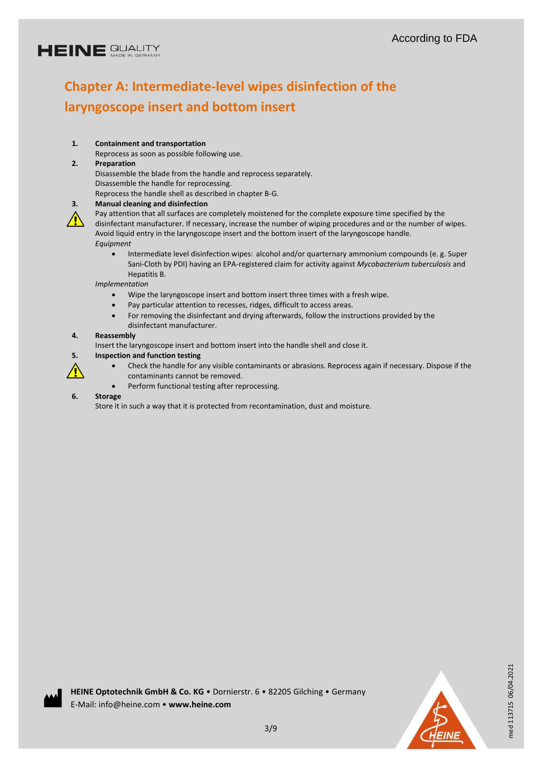# **HEINE GUALITY**

# **Chapter A: Intermediate-level wipes disinfection of the laryngoscope insert and bottom insert**

# **1. Containment and transportation**

Reprocess as soon as possible following use.

# **2. Preparation**

Disassemble the blade from the handle and reprocess separately. Disassemble the handle for reprocessing.

Reprocess the handle shell as described in chapter B-G.



### **3. Manual cleaning and disinfection**

Pay attention that all surfaces are completely moistened for the complete exposure time specified by the disinfectant manufacturer. If necessary, increase the number of wiping procedures and or the number of wipes. Avoid liquid entry in the laryngoscope insert and the bottom insert of the laryngoscope handle. *Equipment*

 Intermediate level disinfection wipes: alcohol and/or quarternary ammonium compounds (e. g. Super Sani-Cloth by PDI) having an EPA-registered claim for activity against *Mycobacterium tuberculosis* and Hepatitis B.

### *Implementation*

- Wipe the laryngoscope insert and bottom insert three times with a fresh wipe.
- Pay particular attention to recesses, ridges, difficult to access areas.
- For removing the disinfectant and drying afterwards, follow the instructions provided by the disinfectant manufacturer.

#### **4. Reassembly**

Insert the laryngoscope insert and bottom insert into the handle shell and close it.

# **5. Inspection and function testing**



- Check the handle for any visible contaminants or abrasions. Reprocess again if necessary. Dispose if the
- contaminants cannot be removed.
- Perform functional testing after reprocessing.

#### **6. Storage**

Store it in such a way that it is protected from recontamination, dust and moisture.

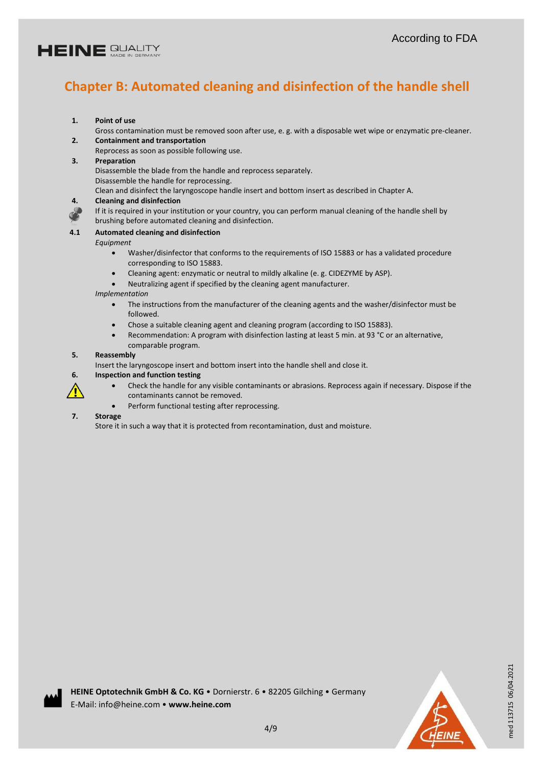

# **Chapter B: Automated cleaning and disinfection of the handle shell**

- **1. Point of use**
- Gross contamination must be removed soon after use, e. g. with a disposable wet wipe or enzymatic pre-cleaner. **2. Containment and transportation**
	- Reprocess as soon as possible following use.
- **3. Preparation**
	- Disassemble the blade from the handle and reprocess separately. Disassemble the handle for reprocessing.

Clean and disinfect the laryngoscope handle insert and bottom insert as described in Chapter A.

#### **4. Cleaning and disinfection**

If it is required in your institution or your country, you can perform manual cleaning of the handle shell by brushing before automated cleaning and disinfection.

#### **4.1 Automated cleaning and disinfection**

*Equipment*

- Washer/disinfector that conforms to the requirements of ISO 15883 or has a validated procedure corresponding to ISO 15883.
- Cleaning agent: enzymatic or neutral to mildly alkaline (e. g. CIDEZYME by ASP).
- Neutralizing agent if specified by the cleaning agent manufacturer.

#### *Implementation*

- The instructions from the manufacturer of the cleaning agents and the washer/disinfector must be followed.
- Chose a suitable cleaning agent and cleaning program (according to ISO 15883).
- Recommendation: A program with disinfection lasting at least 5 min. at 93 °C or an alternative, comparable program.

#### **5. Reassembly**

Insert the laryngoscope insert and bottom insert into the handle shell and close it.

- **6. Inspection and function testing**
	- Check the handle for any visible contaminants or abrasions. Reprocess again if necessary. Dispose if the contaminants cannot be removed.
	- Perform functional testing after reprocessing.

#### **7. Storage**

Store it in such a way that it is protected from recontamination, dust and moisture.



med 113715 06/04.2021

med 113715 06/04.2021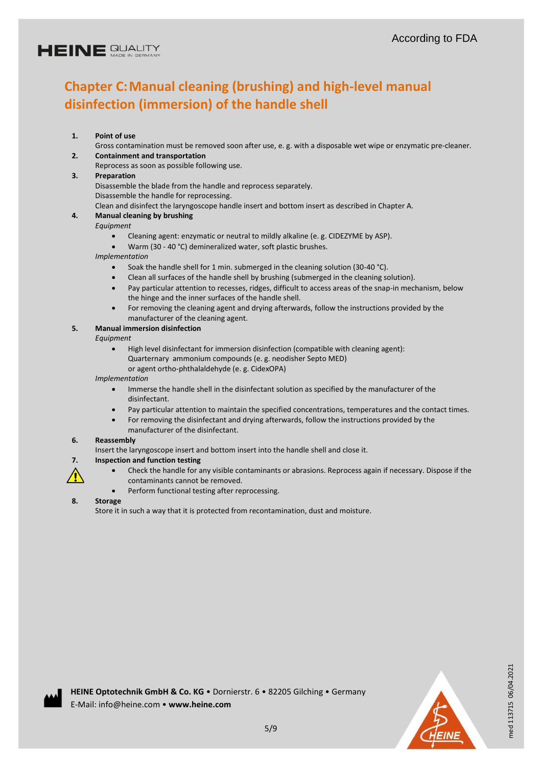# **Chapter C:Manual cleaning (brushing) and high-level manual disinfection (immersion) of the handle shell**

### **1. Point of use**

Gross contamination must be removed soon after use, e. g. with a disposable wet wipe or enzymatic pre-cleaner. **2. Containment and transportation**

Reprocess as soon as possible following use.

#### **3. Preparation**

Disassemble the blade from the handle and reprocess separately. Disassemble the handle for reprocessing.

Clean and disinfect the laryngoscope handle insert and bottom insert as described in Chapter A.

### **4. Manual cleaning by brushing**

*Equipment*

- Cleaning agent: enzymatic or neutral to mildly alkaline (e. g. CIDEZYME by ASP).
- Warm (30 40 °C) demineralized water, soft plastic brushes.

*Implementation*

- Soak the handle shell for 1 min. submerged in the cleaning solution (30-40 °C).
- Clean all surfaces of the handle shell by brushing (submerged in the cleaning solution).
- Pay particular attention to recesses, ridges, difficult to access areas of the snap-in mechanism, below the hinge and the inner surfaces of the handle shell.
- For removing the cleaning agent and drying afterwards, follow the instructions provided by the manufacturer of the cleaning agent.

### **5. Manual immersion disinfection**

*Equipment*

 High level disinfectant for immersion disinfection (compatible with cleaning agent): Quarternary ammonium compounds (e. g. neodisher Septo MED) or agent ortho-phthalaldehyde (e. g. CidexOPA)

*Implementation*

- Immerse the handle shell in the disinfectant solution as specified by the manufacturer of the disinfectant.
- Pay particular attention to maintain the specified concentrations, temperatures and the contact times.
- For removing the disinfectant and drying afterwards, follow the instructions provided by the manufacturer of the disinfectant.

#### **6. Reassembly**

Insert the laryngoscope insert and bottom insert into the handle shell and close it.

### **7. Inspection and function testing**

- Check the handle for any visible contaminants or abrasions. Reprocess again if necessary. Dispose if the contaminants cannot be removed.
- Perform functional testing after reprocessing.

#### **8. Storage**

⁄r

Store it in such a way that it is protected from recontamination, dust and moisture.



med 113715 06/04.2021

med 113715 06/04.2021



5/9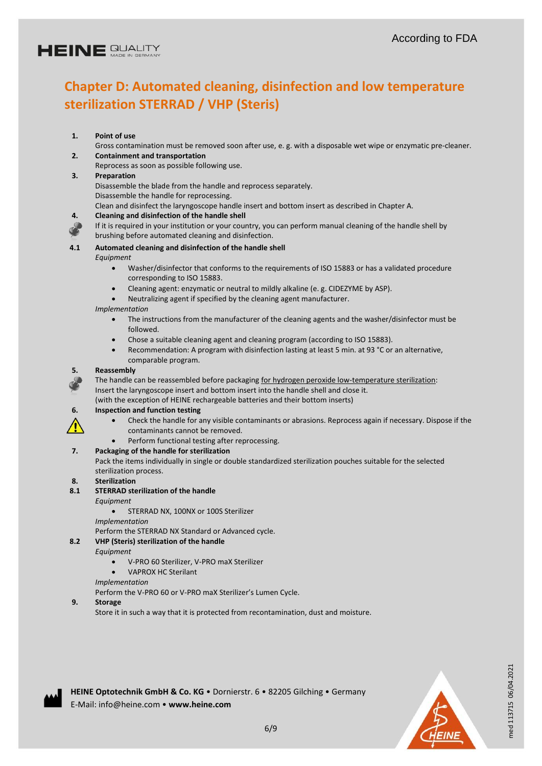# **HEINE SUALITY**

# **Chapter D: Automated cleaning, disinfection and low temperature sterilization STERRAD / VHP (Steris)**

# **1. Point of use**

Gross contamination must be removed soon after use, e. g. with a disposable wet wipe or enzymatic pre-cleaner. **2. Containment and transportation**

Reprocess as soon as possible following use.

### **3. Preparation**

Disassemble the blade from the handle and reprocess separately. Disassemble the handle for reprocessing.

Clean and disinfect the laryngoscope handle insert and bottom insert as described in Chapter A.

#### **4. Cleaning and disinfection of the handle shell**

If it is required in your institution or your country, you can perform manual cleaning of the handle shell by brushing before automated cleaning and disinfection.

# **4.1 Automated cleaning and disinfection of the handle shell**

*Equipment*

- Washer/disinfector that conforms to the requirements of ISO 15883 or has a validated procedure corresponding to ISO 15883.
- Cleaning agent: enzymatic or neutral to mildly alkaline (e. g. CIDEZYME by ASP).
- Neutralizing agent if specified by the cleaning agent manufacturer.

#### *Implementation*

- The instructions from the manufacturer of the cleaning agents and the washer/disinfector must be followed.
- Chose a suitable cleaning agent and cleaning program (according to ISO 15883).
- Recommendation: A program with disinfection lasting at least 5 min. at 93 °C or an alternative, comparable program.

#### **5. Reassembly**

The handle can be reassembled before packaging for hydrogen peroxide low-temperature sterilization: Insert the laryngoscope insert and bottom insert into the handle shell and close it.

(with the exception of HEINE rechargeable batteries and their bottom inserts)

### **6. Inspection and function testing**

- Check the handle for any visible contaminants or abrasions. Reprocess again if necessary. Dispose if the contaminants cannot be removed.
- Perform functional testing after reprocessing.

### **7. Packaging of the handle for sterilization**

Pack the items individually in single or double standardized sterilization pouches suitable for the selected sterilization process.

### **8. Sterilization**

/I

#### **8.1 STERRAD sterilization of the handle**

*Equipment*

#### **STERRAD NX, 100NX or 100S Sterilizer**

*Implementation*

Perform the STERRAD NX Standard or Advanced cycle.

### **8.2 VHP (Steris) sterilization of the handle**

*Equipment*

- V-PRO 60 Sterilizer, V-PRO maX Sterilizer
- VAPROX HC Sterilant

#### *Implementation*

Perform the V-PRO 60 or V-PRO maX Sterilizer's Lumen Cycle.

### **9. Storage**

Store it in such a way that it is protected from recontamination, dust and moisture.





med 113715 06/04.2021

med 113715 06/04.2021

**HEINE Optotechnik GmbH & Co. KG** • Dornierstr. 6 • 82205 Gilching • Germany E-Mail: info@heine.com • **www.heine.com**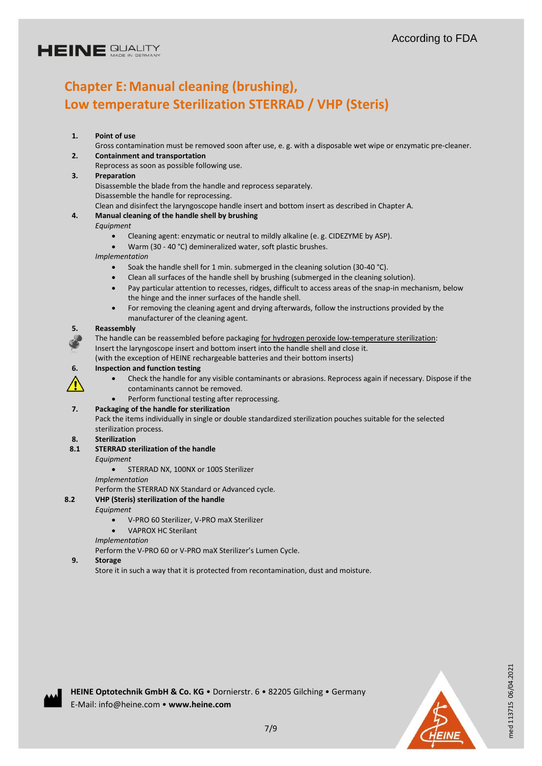# **Chapter E: Manual cleaning (brushing), Low temperature Sterilization STERRAD / VHP (Steris)**

### **1. Point of use**

Gross contamination must be removed soon after use, e. g. with a disposable wet wipe or enzymatic pre-cleaner. **2. Containment and transportation**

Reprocess as soon as possible following use.

### **3. Preparation**

Disassemble the blade from the handle and reprocess separately. Disassemble the handle for reprocessing.

Clean and disinfect the laryngoscope handle insert and bottom insert as described in Chapter A.

### **4. Manual cleaning of the handle shell by brushing**

*Equipment*

- Cleaning agent: enzymatic or neutral to mildly alkaline (e. g. CIDEZYME by ASP).
- Warm (30 40 °C) demineralized water, soft plastic brushes.

*Implementation*

- Soak the handle shell for 1 min. submerged in the cleaning solution (30-40 °C).
- Clean all surfaces of the handle shell by brushing (submerged in the cleaning solution).
- Pay particular attention to recesses, ridges, difficult to access areas of the snap-in mechanism, below the hinge and the inner surfaces of the handle shell.
- For removing the cleaning agent and drying afterwards, follow the instructions provided by the manufacturer of the cleaning agent.

#### **5. Reassembly**

The handle can be reassembled before packaging for hydrogen peroxide low-temperature sterilization:

Insert the laryngoscope insert and bottom insert into the handle shell and close it. (with the exception of HEINE rechargeable batteries and their bottom inserts)

**6. Inspection and function testing**

- Check the handle for any visible contaminants or abrasions. Reprocess again if necessary. Dispose if the contaminants cannot be removed.
- Perform functional testing after reprocessing.

### **7. Packaging of the handle for sterilization**

Pack the items individually in single or double standardized sterilization pouches suitable for the selected sterilization process.

### **8. Sterilization**

### **8.1 STERRAD sterilization of the handle**

#### *Equipment*

STERRAD NX, 100NX or 100S Sterilizer

*Implementation*

Perform the STERRAD NX Standard or Advanced cycle.

### **8.2 VHP (Steris) sterilization of the handle**

*Equipment*

- V-PRO 60 Sterilizer, V-PRO maX Sterilizer
- VAPROX HC Sterilant
- *Implementation*

Perform the V-PRO 60 or V-PRO maX Sterilizer's Lumen Cycle.

**9. Storage**

Store it in such a way that it is protected from recontamination, dust and moisture.



med 113715 06/04.2021

med 113715 06/04.2021

**HEINE Optotechnik GmbH & Co. KG** • Dornierstr. 6 • 82205 Gilching • Germany E-Mail: info@heine.com • **www.heine.com**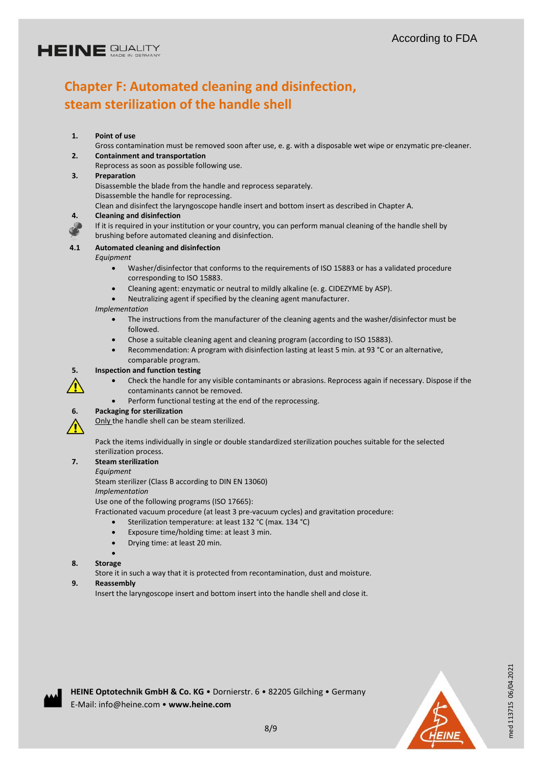# **HEINE SUALITY**

# **Chapter F: Automated cleaning and disinfection, steam sterilization of the handle shell**

### **1. Point of use**

Gross contamination must be removed soon after use, e. g. with a disposable wet wipe or enzymatic pre-cleaner. **2. Containment and transportation**

Reprocess as soon as possible following use.

#### **3. Preparation**

Disassemble the blade from the handle and reprocess separately. Disassemble the handle for reprocessing.

Clean and disinfect the laryngoscope handle insert and bottom insert as described in Chapter A.

#### **4. Cleaning and disinfection**

If it is required in your institution or your country, you can perform manual cleaning of the handle shell by brushing before automated cleaning and disinfection.

### **4.1 Automated cleaning and disinfection**

#### *Equipment*

- Washer/disinfector that conforms to the requirements of ISO 15883 or has a validated procedure corresponding to ISO 15883.
- Cleaning agent: enzymatic or neutral to mildly alkaline (e. g. CIDEZYME by ASP).
- Neutralizing agent if specified by the cleaning agent manufacturer.

#### *Implementation*

- The instructions from the manufacturer of the cleaning agents and the washer/disinfector must be followed.
- Chose a suitable cleaning agent and cleaning program (according to ISO 15883).
- Recommendation: A program with disinfection lasting at least 5 min. at 93 °C or an alternative, comparable program.

#### **5. Inspection and function testing**

- 
- Check the handle for any visible contaminants or abrasions. Reprocess again if necessary. Dispose if the
- 
- Perform functional testing at the end of the reprocessing.

### **6. Packaging for sterilization**

Only the handle shell can be steam sterilized.

Pack the items individually in single or double standardized sterilization pouches suitable for the selected sterilization process.

# **7. Steam sterilization**

*Equipment*

Steam sterilizer (Class B according to DIN EN 13060)

contaminants cannot be removed.

*Implementation*

Use one of the following programs (ISO 17665):

Fractionated vacuum procedure (at least 3 pre-vacuum cycles) and gravitation procedure:

- Sterilization temperature: at least 132 °C (max. 134 °C)
- Exposure time/holding time: at least 3 min.
- Drying time: at least 20 min.

#### $\bullet$ **8. Storage**

Store it in such a way that it is protected from recontamination, dust and moisture.

### **9. Reassembly**

Insert the laryngoscope insert and bottom insert into the handle shell and close it.



med 113715 06/04.2021

med 113715 06/04.2021